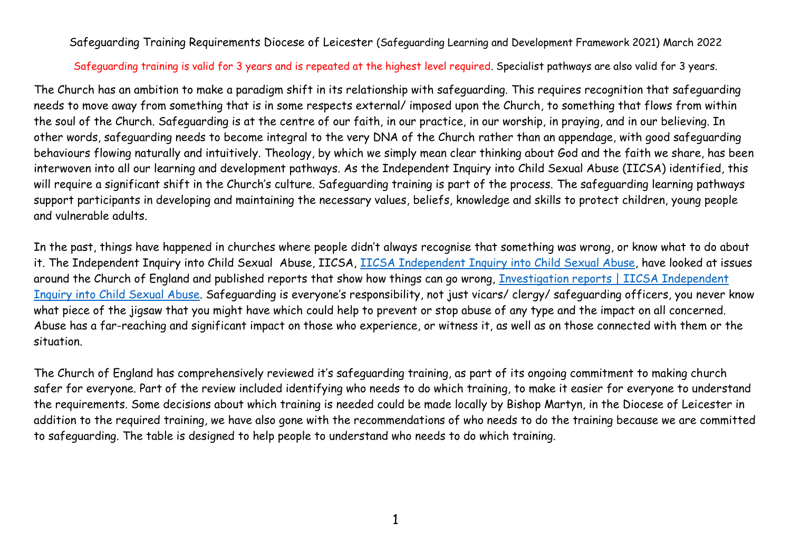Safeguarding Training Requirements Diocese of Leicester (Safeguarding Learning and Development Framework 2021) March 2022

## Safeguarding training is valid for 3 years and is repeated at the highest level required. Specialist pathways are also valid for 3 years.

The Church has an ambition to make a paradigm shift in its relationship with safeguarding. This requires recognition that safeguarding needs to move away from something that is in some respects external/ imposed upon the Church, to something that flows from within the soul of the Church. Safeguarding is at the centre of our faith, in our practice, in our worship, in praying, and in our believing. In other words, safeguarding needs to become integral to the very DNA of the Church rather than an appendage, with good safeguarding behaviours flowing naturally and intuitively. Theology, by which we simply mean clear thinking about God and the faith we share, has been interwoven into all our learning and development pathways. As the Independent Inquiry into Child Sexual Abuse (IICSA) identified, this will require a significant shift in the Church's culture. Safeguarding training is part of the process. The safeguarding learning pathways support participants in developing and maintaining the necessary values, beliefs, knowledge and skills to protect children, young people and vulnerable adults.

In the past, things have happened in churches where people didn't always recognise that something was wrong, or know what to do about it. The Independent Inquiry into Child Sexual Abuse, IICSA, [IICSA Independent Inquiry into Child Sexual Abuse,](https://www.iicsa.org.uk/) have looked at issues around the Church of England and published reports that show how things can go wrong, [Investigation reports | IICSA Independent](https://www.iicsa.org.uk/reports-recommendations/publications/investigation)  [Inquiry into Child Sexual Abuse](https://www.iicsa.org.uk/reports-recommendations/publications/investigation). Safeguarding is everyone's responsibility, not just vicars/ clergy/ safeguarding officers, you never know what piece of the jigsaw that you might have which could help to prevent or stop abuse of any type and the impact on all concerned. Abuse has a far-reaching and significant impact on those who experience, or witness it, as well as on those connected with them or the situation.

The Church of England has comprehensively reviewed it's safeguarding training, as part of its ongoing commitment to making church safer for everyone. Part of the review included identifying who needs to do which training, to make it easier for everyone to understand the requirements. Some decisions about which training is needed could be made locally by Bishop Martyn, in the Diocese of Leicester in addition to the required training, we have also gone with the recommendations of who needs to do the training because we are committed to safeguarding. The table is designed to help people to understand who needs to do which training.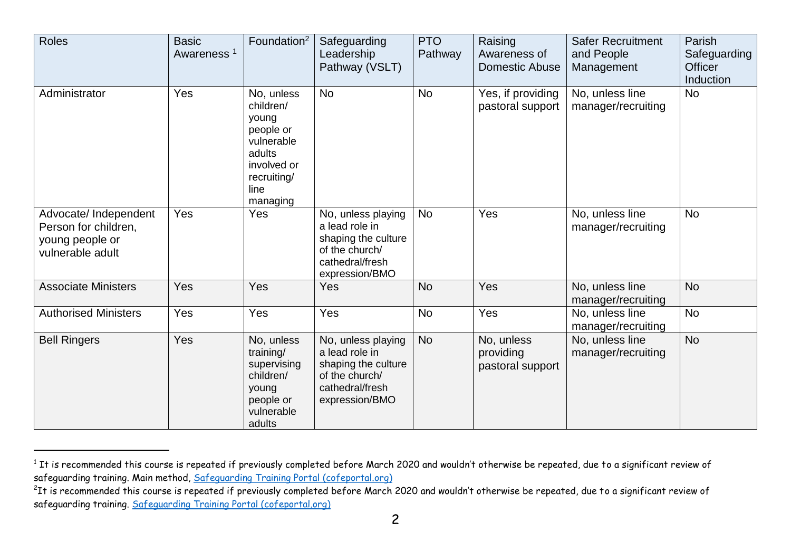| <b>Roles</b>                                                                         | <b>Basic</b><br>Awareness <sup>1</sup> | Foundation <sup>2</sup>                                                                                                 | Safeguarding<br>Leadership<br>Pathway (VSLT)                                                                       | <b>PTO</b><br>Pathway | Raising<br>Awareness of<br><b>Domestic Abuse</b> | <b>Safer Recruitment</b><br>and People<br>Management | Parish<br>Safeguarding<br>Officer<br>Induction |
|--------------------------------------------------------------------------------------|----------------------------------------|-------------------------------------------------------------------------------------------------------------------------|--------------------------------------------------------------------------------------------------------------------|-----------------------|--------------------------------------------------|------------------------------------------------------|------------------------------------------------|
| Administrator                                                                        | Yes                                    | No, unless<br>children/<br>young<br>people or<br>vulnerable<br>adults<br>involved or<br>recruiting/<br>line<br>managing | <b>No</b>                                                                                                          | <b>No</b>             | Yes, if providing<br>pastoral support            | No, unless line<br>manager/recruiting                | <b>No</b>                                      |
| Advocate/ Independent<br>Person for children,<br>young people or<br>vulnerable adult | Yes                                    | Yes                                                                                                                     | No, unless playing<br>a lead role in<br>shaping the culture<br>of the church/<br>cathedral/fresh<br>expression/BMO | <b>No</b>             | Yes                                              | No, unless line<br>manager/recruiting                | <b>No</b>                                      |
| <b>Associate Ministers</b>                                                           | Yes                                    | Yes                                                                                                                     | Yes                                                                                                                | <b>No</b>             | Yes                                              | No, unless line<br>manager/recruiting                | <b>No</b>                                      |
| <b>Authorised Ministers</b>                                                          | Yes                                    | Yes                                                                                                                     | Yes                                                                                                                | <b>No</b>             | Yes                                              | No, unless line<br>manager/recruiting                | <b>No</b>                                      |
| <b>Bell Ringers</b>                                                                  | Yes                                    | No, unless<br>training/<br>supervising<br>children/<br>young<br>people or<br>vulnerable<br>adults                       | No, unless playing<br>a lead role in<br>shaping the culture<br>of the church/<br>cathedral/fresh<br>expression/BMO | <b>No</b>             | No, unless<br>providing<br>pastoral support      | No, unless line<br>manager/recruiting                | <b>No</b>                                      |

 $^{\rm 1}$  It is recommended this course is repeated if previously completed before March 2020 and wouldn't otherwise be repeated, due to a significant review of safeguarding training. Main method, [Safeguarding Training Portal \(cofeportal.org\)](https://safeguardingtraining.cofeportal.org/)

<sup>&</sup>lt;sup>2</sup>It is recommended this course is repeated if previously completed before March 2020 and wouldn't otherwise be repeated, due to a significant review of safeguarding training. [Safeguarding Training Portal \(cofeportal.org\)](https://safeguardingtraining.cofeportal.org/)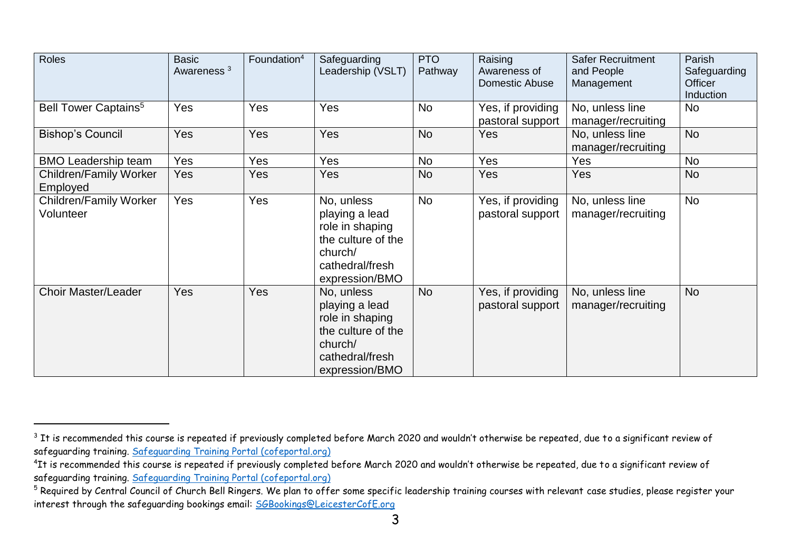| Roles                                      | <b>Basic</b><br>Awareness <sup>3</sup> | Foundation <sup>4</sup> | Safeguarding<br>Leadership (VSLT)                                                                                     | <b>PTO</b><br>Pathway | Raising<br>Awareness of<br>Domestic Abuse | <b>Safer Recruitment</b><br>and People<br>Management | Parish<br>Safeguarding<br><b>Officer</b><br>Induction |
|--------------------------------------------|----------------------------------------|-------------------------|-----------------------------------------------------------------------------------------------------------------------|-----------------------|-------------------------------------------|------------------------------------------------------|-------------------------------------------------------|
| Bell Tower Captains <sup>5</sup>           | Yes                                    | Yes                     | Yes                                                                                                                   | <b>No</b>             | Yes, if providing<br>pastoral support     | No, unless line<br>manager/recruiting                | <b>No</b>                                             |
| <b>Bishop's Council</b>                    | Yes                                    | Yes                     | Yes                                                                                                                   | <b>No</b>             | Yes                                       | No, unless line<br>manager/recruiting                | <b>No</b>                                             |
| <b>BMO Leadership team</b>                 | Yes                                    | <b>Yes</b>              | Yes                                                                                                                   | No                    | Yes                                       | Yes                                                  | <b>No</b>                                             |
| <b>Children/Family Worker</b><br>Employed  | Yes                                    | Yes                     | Yes                                                                                                                   | <b>No</b>             | Yes                                       | Yes                                                  | <b>No</b>                                             |
| <b>Children/Family Worker</b><br>Volunteer | Yes                                    | Yes                     | No, unless<br>playing a lead<br>role in shaping<br>the culture of the<br>church/<br>cathedral/fresh<br>expression/BMO | <b>No</b>             | Yes, if providing<br>pastoral support     | No, unless line<br>manager/recruiting                | No                                                    |
| <b>Choir Master/Leader</b>                 | Yes                                    | Yes                     | No, unless<br>playing a lead<br>role in shaping<br>the culture of the<br>church/<br>cathedral/fresh<br>expression/BMO | <b>No</b>             | Yes, if providing<br>pastoral support     | No, unless line<br>manager/recruiting                | <b>No</b>                                             |

<sup>&</sup>lt;sup>3</sup> It is recommended this course is repeated if previously completed before March 2020 and wouldn't otherwise be repeated, due to a significant review of safeguarding training. [Safeguarding Training Portal \(cofeportal.org\)](https://safeguardingtraining.cofeportal.org/)

<sup>&</sup>lt;sup>4</sup>It is recommended this course is repeated if previously completed before March 2020 and wouldn't otherwise be repeated, due to a significant review of safeguarding training. [Safeguarding Training Portal \(cofeportal.org\)](https://safeguardingtraining.cofeportal.org/)

<sup>5</sup> Required by Central Council of Church Bell Ringers. We plan to offer some specific leadership training courses with relevant case studies, please register your interest through the safeguarding bookings email: [SGBookings@LeicesterCofE.org](mailto:SGBookings@LeicesterCofE.org)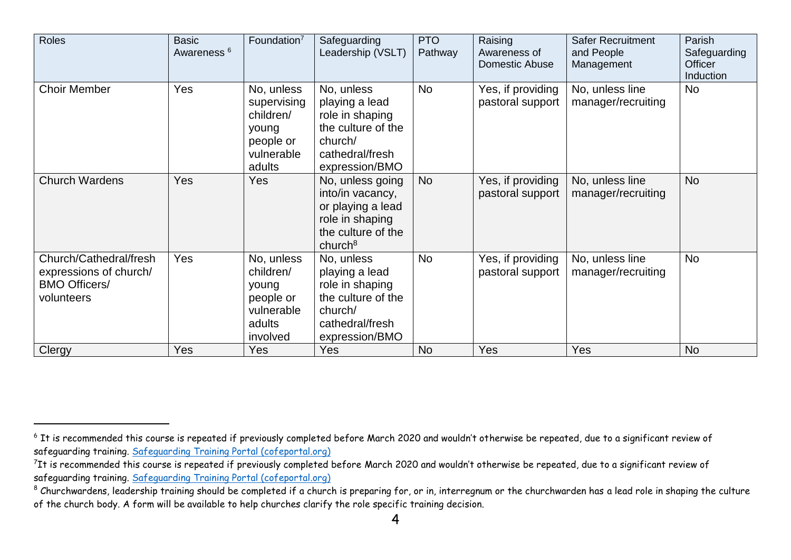| <b>Roles</b>                                                                           | <b>Basic</b><br>Awareness <sup>6</sup> | Foundation $7$                                                                       | Safeguarding<br>Leadership (VSLT)                                                                                         | <b>PTO</b><br>Pathway | Raising<br>Awareness of<br>Domestic Abuse | <b>Safer Recruitment</b><br>and People<br>Management | Parish<br>Safeguarding<br>Officer<br>Induction |
|----------------------------------------------------------------------------------------|----------------------------------------|--------------------------------------------------------------------------------------|---------------------------------------------------------------------------------------------------------------------------|-----------------------|-------------------------------------------|------------------------------------------------------|------------------------------------------------|
| <b>Choir Member</b>                                                                    | Yes                                    | No, unless<br>supervising<br>children/<br>young<br>people or<br>vulnerable<br>adults | No, unless<br>playing a lead<br>role in shaping<br>the culture of the<br>church/<br>cathedral/fresh<br>expression/BMO     | <b>No</b>             | Yes, if providing<br>pastoral support     | No, unless line<br>manager/recruiting                | <b>No</b>                                      |
| <b>Church Wardens</b>                                                                  | Yes                                    | <b>Yes</b>                                                                           | No, unless going<br>into/in vacancy,<br>or playing a lead<br>role in shaping<br>the culture of the<br>church <sup>8</sup> | <b>No</b>             | Yes, if providing<br>pastoral support     | No, unless line<br>manager/recruiting                | <b>No</b>                                      |
| Church/Cathedral/fresh<br>expressions of church/<br><b>BMO Officers/</b><br>volunteers | Yes                                    | No, unless<br>children/<br>young<br>people or<br>vulnerable<br>adults<br>involved    | No, unless<br>playing a lead<br>role in shaping<br>the culture of the<br>church/<br>cathedral/fresh<br>expression/BMO     | <b>No</b>             | Yes, if providing<br>pastoral support     | No, unless line<br>manager/recruiting                | <b>No</b>                                      |
| Clergy                                                                                 | Yes                                    | Yes                                                                                  | <b>Yes</b>                                                                                                                | <b>No</b>             | Yes                                       | <b>Yes</b>                                           | <b>No</b>                                      |

<sup>&</sup>lt;sup>6</sup> It is recommended this course is repeated if previously completed before March 2020 and wouldn't otherwise be repeated, due to a significant review of safeguarding training. [Safeguarding Training Portal \(cofeportal.org\)](https://safeguardingtraining.cofeportal.org/)

<sup>&</sup>lt;sup>7</sup>It is recommended this course is repeated if previously completed before March 2020 and wouldn't otherwise be repeated, due to a significant review of safeguarding training. [Safeguarding Training Portal \(cofeportal.org\)](https://safeguardingtraining.cofeportal.org/)

<sup>8</sup> Churchwardens, leadership training should be completed if a church is preparing for, or in, interregnum or the churchwarden has a lead role in shaping the culture of the church body. A form will be available to help churches clarify the role specific training decision.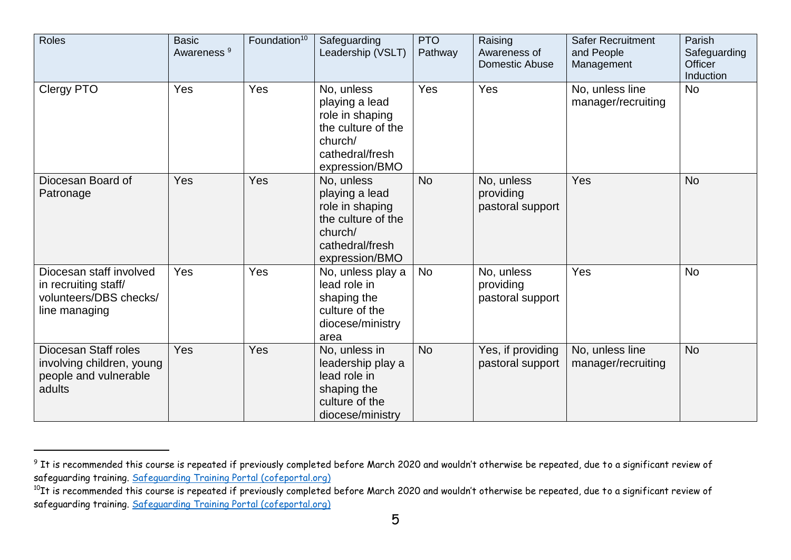| Roles                                                                                      | <b>Basic</b><br>Awareness <sup>9</sup> | Foundation <sup>10</sup> | Safeguarding<br>Leadership (VSLT)                                                                                     | <b>PTO</b><br>Pathway | Raising<br>Awareness of<br>Domestic Abuse   | <b>Safer Recruitment</b><br>and People<br>Management | Parish<br>Safeguarding<br>Officer<br>Induction |
|--------------------------------------------------------------------------------------------|----------------------------------------|--------------------------|-----------------------------------------------------------------------------------------------------------------------|-----------------------|---------------------------------------------|------------------------------------------------------|------------------------------------------------|
| Clergy PTO                                                                                 | Yes                                    | Yes                      | No, unless<br>playing a lead<br>role in shaping<br>the culture of the<br>church/<br>cathedral/fresh<br>expression/BMO | Yes                   | Yes                                         | No, unless line<br>manager/recruiting                | <b>No</b>                                      |
| Diocesan Board of<br>Patronage                                                             | <b>Yes</b>                             | Yes                      | No, unless<br>playing a lead<br>role in shaping<br>the culture of the<br>church/<br>cathedral/fresh<br>expression/BMO | <b>No</b>             | No, unless<br>providing<br>pastoral support | Yes                                                  | <b>No</b>                                      |
| Diocesan staff involved<br>in recruiting staff/<br>volunteers/DBS checks/<br>line managing | Yes                                    | Yes                      | No, unless play a<br>lead role in<br>shaping the<br>culture of the<br>diocese/ministry<br>area                        | <b>No</b>             | No, unless<br>providing<br>pastoral support | Yes                                                  | <b>No</b>                                      |
| Diocesan Staff roles<br>involving children, young<br>people and vulnerable<br>adults       | <b>Yes</b>                             | Yes                      | No, unless in<br>leadership play a<br>lead role in<br>shaping the<br>culture of the<br>diocese/ministry               | <b>No</b>             | Yes, if providing<br>pastoral support       | No, unless line<br>manager/recruiting                | <b>No</b>                                      |

 $^9$  It is recommended this course is repeated if previously completed before March 2020 and wouldn't otherwise be repeated, due to a significant review of safeguarding training. [Safeguarding Training Portal \(cofeportal.org\)](https://safeguardingtraining.cofeportal.org/)

 $\rm ^{10}$ It is recommended this course is repeated if previously completed before March 2020 and wouldn't otherwise be repeated, due to a significant review of safeguarding training. [Safeguarding Training Portal \(cofeportal.org\)](https://safeguardingtraining.cofeportal.org/)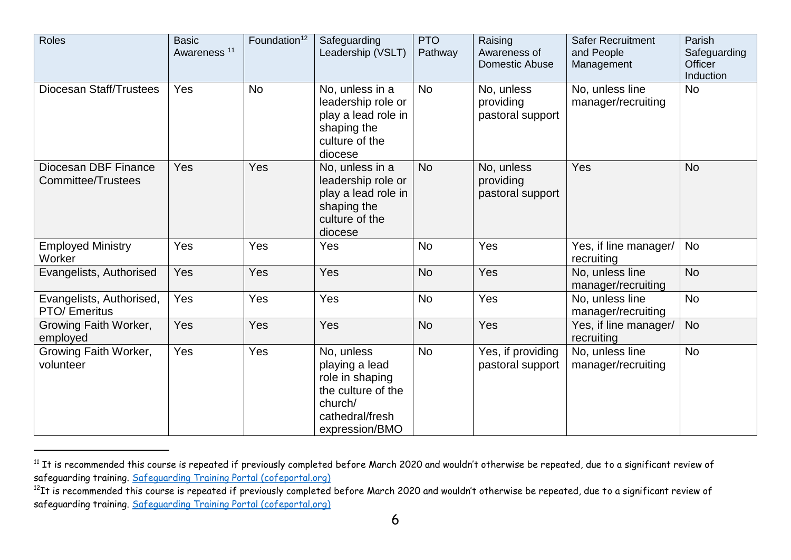| Roles                                            | <b>Basic</b><br>Awareness <sup>11</sup> | Foundation <sup>12</sup> | Safeguarding<br>Leadership (VSLT)                                                                                     | <b>PTO</b><br>Pathway | Raising<br>Awareness of<br><b>Domestic Abuse</b> | <b>Safer Recruitment</b><br>and People<br>Management | Parish<br>Safeguarding<br>Officer<br>Induction |
|--------------------------------------------------|-----------------------------------------|--------------------------|-----------------------------------------------------------------------------------------------------------------------|-----------------------|--------------------------------------------------|------------------------------------------------------|------------------------------------------------|
| <b>Diocesan Staff/Trustees</b>                   | Yes                                     | <b>No</b>                | No, unless in a<br>leadership role or<br>play a lead role in<br>shaping the<br>culture of the<br>diocese              | <b>No</b>             | No, unless<br>providing<br>pastoral support      | No, unless line<br>manager/recruiting                | <b>No</b>                                      |
| Diocesan DBF Finance<br>Committee/Trustees       | <b>Yes</b>                              | Yes                      | No, unless in a<br>leadership role or<br>play a lead role in<br>shaping the<br>culture of the<br>diocese              | <b>No</b>             | No, unless<br>providing<br>pastoral support      | Yes                                                  | <b>No</b>                                      |
| <b>Employed Ministry</b><br>Worker               | Yes                                     | Yes                      | Yes                                                                                                                   | <b>No</b>             | Yes                                              | Yes, if line manager/<br>recruiting                  | <b>No</b>                                      |
| Evangelists, Authorised                          | Yes                                     | Yes                      | Yes                                                                                                                   | <b>No</b>             | Yes                                              | No, unless line<br>manager/recruiting                | <b>No</b>                                      |
| Evangelists, Authorised,<br><b>PTO/ Emeritus</b> | Yes                                     | Yes                      | Yes                                                                                                                   | <b>No</b>             | Yes                                              | No, unless line<br>manager/recruiting                | <b>No</b>                                      |
| Growing Faith Worker,<br>employed                | Yes                                     | Yes                      | Yes                                                                                                                   | <b>No</b>             | Yes                                              | Yes, if line manager/<br>recruiting                  | <b>No</b>                                      |
| Growing Faith Worker,<br>volunteer               | Yes                                     | Yes                      | No, unless<br>playing a lead<br>role in shaping<br>the culture of the<br>church/<br>cathedral/fresh<br>expression/BMO | <b>No</b>             | Yes, if providing<br>pastoral support            | No, unless line<br>manager/recruiting                | <b>No</b>                                      |

<sup>&</sup>lt;sup>11</sup> It is recommended this course is repeated if previously completed before March 2020 and wouldn't otherwise be repeated, due to a significant review of safeguarding training. [Safeguarding Training Portal \(cofeportal.org\)](https://safeguardingtraining.cofeportal.org/)

 $^{12}$ It is recommended this course is repeated if previously completed before March 2020 and wouldn't otherwise be repeated, due to a significant review of safeguarding training. [Safeguarding Training Portal \(cofeportal.org\)](https://safeguardingtraining.cofeportal.org/)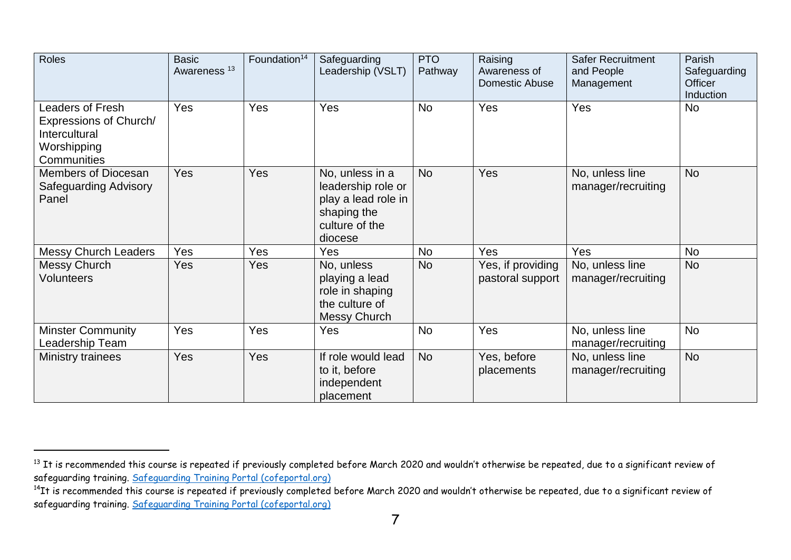| Roles                                                                                     | <b>Basic</b><br>Awareness <sup>13</sup> | Foundation <sup>14</sup> | Safeguarding<br>Leadership (VSLT)                                                                        | <b>PTO</b><br>Pathway | Raising<br>Awareness of<br>Domestic Abuse | <b>Safer Recruitment</b><br>and People<br>Management | Parish<br>Safeguarding<br><b>Officer</b><br>Induction |
|-------------------------------------------------------------------------------------------|-----------------------------------------|--------------------------|----------------------------------------------------------------------------------------------------------|-----------------------|-------------------------------------------|------------------------------------------------------|-------------------------------------------------------|
| Leaders of Fresh<br>Expressions of Church/<br>Intercultural<br>Worshipping<br>Communities | Yes                                     | Yes                      | Yes                                                                                                      | <b>No</b>             | Yes                                       | Yes                                                  | <b>No</b>                                             |
| Members of Diocesan<br><b>Safeguarding Advisory</b><br>Panel                              | <b>Yes</b>                              | Yes                      | No, unless in a<br>leadership role or<br>play a lead role in<br>shaping the<br>culture of the<br>diocese | <b>No</b>             | Yes                                       | No, unless line<br>manager/recruiting                | <b>No</b>                                             |
| <b>Messy Church Leaders</b>                                                               | Yes                                     | Yes                      | Yes                                                                                                      | <b>No</b>             | <b>Yes</b>                                | Yes                                                  | No                                                    |
| <b>Messy Church</b><br><b>Volunteers</b>                                                  | Yes                                     | <b>Yes</b>               | No, unless<br>playing a lead<br>role in shaping<br>the culture of<br>Messy Church                        | <b>No</b>             | Yes, if providing<br>pastoral support     | No, unless line<br>manager/recruiting                | <b>No</b>                                             |
| <b>Minster Community</b><br>Leadership Team                                               | Yes                                     | Yes                      | Yes                                                                                                      | <b>No</b>             | Yes                                       | No, unless line<br>manager/recruiting                | No                                                    |
| Ministry trainees                                                                         | Yes                                     | Yes                      | If role would lead<br>to it, before<br>independent<br>placement                                          | <b>No</b>             | Yes, before<br>placements                 | No, unless line<br>manager/recruiting                | <b>No</b>                                             |

 $^{\rm 13}$  It is recommended this course is repeated if previously completed before March 2020 and wouldn't otherwise be repeated, due to a significant review of safeguarding training. [Safeguarding Training Portal \(cofeportal.org\)](https://safeguardingtraining.cofeportal.org/)

 $^{14}$ It is recommended this course is repeated if previously completed before March 2020 and wouldn't otherwise be repeated, due to a significant review of safeguarding training. [Safeguarding Training Portal \(cofeportal.org\)](https://safeguardingtraining.cofeportal.org/)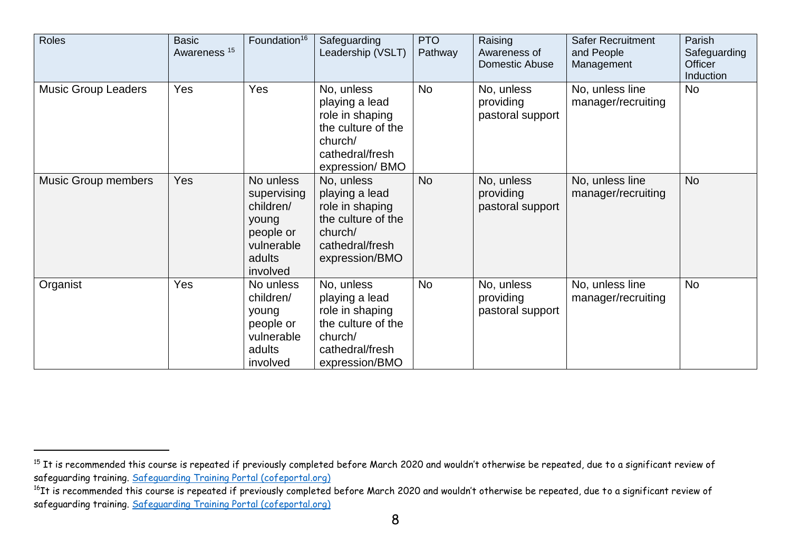| <b>Roles</b>               | <b>Basic</b><br>Awareness <sup>15</sup> | Foundation <sup>16</sup>                                                                        | Safeguarding<br>Leadership (VSLT)                                                                                     | <b>PTO</b><br>Pathway | Raising<br>Awareness of<br>Domestic Abuse   | <b>Safer Recruitment</b><br>and People<br>Management | Parish<br>Safeguarding<br><b>Officer</b><br>Induction |
|----------------------------|-----------------------------------------|-------------------------------------------------------------------------------------------------|-----------------------------------------------------------------------------------------------------------------------|-----------------------|---------------------------------------------|------------------------------------------------------|-------------------------------------------------------|
| <b>Music Group Leaders</b> | Yes                                     | Yes                                                                                             | No, unless<br>playing a lead<br>role in shaping<br>the culture of the<br>church/<br>cathedral/fresh<br>expression/BMO | No                    | No, unless<br>providing<br>pastoral support | No, unless line<br>manager/recruiting                | <b>No</b>                                             |
| <b>Music Group members</b> | Yes                                     | No unless<br>supervising<br>children/<br>young<br>people or<br>vulnerable<br>adults<br>involved | No, unless<br>playing a lead<br>role in shaping<br>the culture of the<br>church/<br>cathedral/fresh<br>expression/BMO | <b>No</b>             | No, unless<br>providing<br>pastoral support | No, unless line<br>manager/recruiting                | <b>No</b>                                             |
| Organist                   | Yes                                     | No unless<br>children/<br>young<br>people or<br>vulnerable<br>adults<br>involved                | No, unless<br>playing a lead<br>role in shaping<br>the culture of the<br>church/<br>cathedral/fresh<br>expression/BMO | <b>No</b>             | No, unless<br>providing<br>pastoral support | No, unless line<br>manager/recruiting                | No                                                    |

<sup>&</sup>lt;sup>15</sup> It is recommended this course is repeated if previously completed before March 2020 and wouldn't otherwise be repeated, due to a significant review of safeguarding training. [Safeguarding Training Portal \(cofeportal.org\)](https://safeguardingtraining.cofeportal.org/)

 $^{16}\rm{It}$  is recommended this course is repeated if previously completed before March 2020 and wouldn't otherwise be repeated, due to a significant review of safeguarding training. [Safeguarding Training Portal \(cofeportal.org\)](https://safeguardingtraining.cofeportal.org/)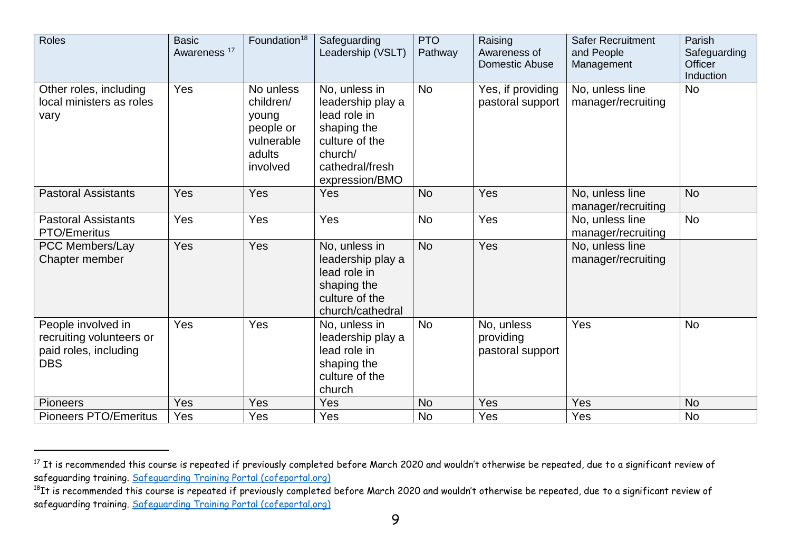| <b>Roles</b>                                                                          | <b>Basic</b><br>Awareness <sup>17</sup> | Foundation <sup>18</sup>                                                         | Safeguarding<br>Leadership (VSLT)                                                                                                   | <b>PTO</b><br>Pathway | Raising<br>Awareness of<br>Domestic Abuse   | <b>Safer Recruitment</b><br>and People<br>Management | Parish<br>Safeguarding<br><b>Officer</b><br>Induction |
|---------------------------------------------------------------------------------------|-----------------------------------------|----------------------------------------------------------------------------------|-------------------------------------------------------------------------------------------------------------------------------------|-----------------------|---------------------------------------------|------------------------------------------------------|-------------------------------------------------------|
| Other roles, including<br>local ministers as roles<br>vary                            | Yes                                     | No unless<br>children/<br>young<br>people or<br>vulnerable<br>adults<br>involved | No, unless in<br>leadership play a<br>lead role in<br>shaping the<br>culture of the<br>church/<br>cathedral/fresh<br>expression/BMO | <b>No</b>             | Yes, if providing<br>pastoral support       | No, unless line<br>manager/recruiting                | <b>No</b>                                             |
| <b>Pastoral Assistants</b>                                                            | Yes                                     | Yes                                                                              | Yes                                                                                                                                 | <b>No</b>             | Yes                                         | No, unless line<br>manager/recruiting                | <b>No</b>                                             |
| <b>Pastoral Assistants</b><br>PTO/Emeritus                                            | Yes                                     | Yes                                                                              | Yes                                                                                                                                 | <b>No</b>             | Yes                                         | No, unless line<br>manager/recruiting                | <b>No</b>                                             |
| PCC Members/Lay<br>Chapter member                                                     | Yes                                     | Yes                                                                              | No, unless in<br>leadership play a<br>lead role in<br>shaping the<br>culture of the<br>church/cathedral                             | <b>No</b>             | Yes                                         | No, unless line<br>manager/recruiting                |                                                       |
| People involved in<br>recruiting volunteers or<br>paid roles, including<br><b>DBS</b> | Yes                                     | Yes                                                                              | No, unless in<br>leadership play a<br>lead role in<br>shaping the<br>culture of the<br>church                                       | <b>No</b>             | No, unless<br>providing<br>pastoral support | Yes                                                  | <b>No</b>                                             |
| <b>Pioneers</b>                                                                       | Yes                                     | Yes                                                                              | Yes                                                                                                                                 | <b>No</b>             | Yes                                         | Yes                                                  | <b>No</b>                                             |
| Pioneers PTO/Emeritus                                                                 | Yes                                     | Yes                                                                              | Yes                                                                                                                                 | <b>No</b>             | Yes                                         | Yes                                                  | <b>No</b>                                             |

<sup>&</sup>lt;sup>17</sup> It is recommended this course is repeated if previously completed before March 2020 and wouldn't otherwise be repeated, due to a significant review of safeguarding training. [Safeguarding Training Portal \(cofeportal.org\)](https://safeguardingtraining.cofeportal.org/)

 $^{18}{\rm It}$  is recommended this course is repeated if previously completed before March 2020 and wouldn't otherwise be repeated, due to a significant review of safeguarding training. [Safeguarding Training Portal \(cofeportal.org\)](https://safeguardingtraining.cofeportal.org/)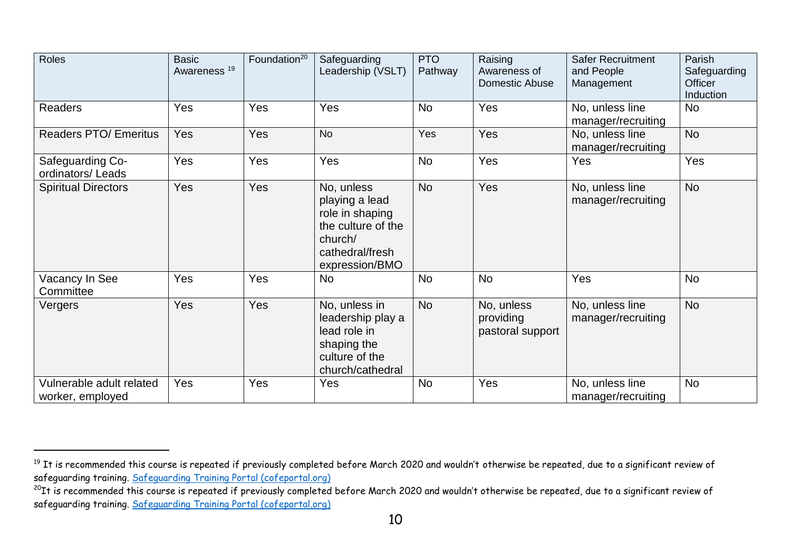| Roles                                        | <b>Basic</b><br>Awareness <sup>19</sup> | Foundation <sup>20</sup> | Safeguarding<br>Leadership (VSLT)                                                                                     | <b>PTO</b><br>Pathway | Raising<br>Awareness of<br>Domestic Abuse   | <b>Safer Recruitment</b><br>and People<br>Management | Parish<br>Safeguarding<br><b>Officer</b><br>Induction |
|----------------------------------------------|-----------------------------------------|--------------------------|-----------------------------------------------------------------------------------------------------------------------|-----------------------|---------------------------------------------|------------------------------------------------------|-------------------------------------------------------|
| Readers                                      | Yes                                     | Yes                      | Yes                                                                                                                   | <b>No</b>             | Yes                                         | No, unless line<br>manager/recruiting                | <b>No</b>                                             |
| <b>Readers PTO/ Emeritus</b>                 | Yes                                     | Yes                      | <b>No</b>                                                                                                             | Yes                   | Yes                                         | No, unless line<br>manager/recruiting                | <b>No</b>                                             |
| Safeguarding Co-<br>ordinators/Leads         | Yes                                     | Yes                      | Yes                                                                                                                   | <b>No</b>             | Yes                                         | Yes                                                  | Yes                                                   |
| <b>Spiritual Directors</b>                   | Yes                                     | Yes                      | No, unless<br>playing a lead<br>role in shaping<br>the culture of the<br>church/<br>cathedral/fresh<br>expression/BMO | <b>No</b>             | Yes                                         | No, unless line<br>manager/recruiting                | <b>No</b>                                             |
| Vacancy In See<br>Committee                  | Yes                                     | Yes                      | <b>No</b>                                                                                                             | <b>No</b>             | <b>No</b>                                   | Yes                                                  | <b>No</b>                                             |
| Vergers                                      | <b>Yes</b>                              | Yes                      | No, unless in<br>leadership play a<br>lead role in<br>shaping the<br>culture of the<br>church/cathedral               | <b>No</b>             | No, unless<br>providing<br>pastoral support | No, unless line<br>manager/recruiting                | <b>No</b>                                             |
| Vulnerable adult related<br>worker, employed | Yes                                     | Yes                      | Yes                                                                                                                   | <b>No</b>             | Yes                                         | No, unless line<br>manager/recruiting                | <b>No</b>                                             |

 $^{\rm 19}$  It is recommended this course is repeated if previously completed before March 2020 and wouldn't otherwise be repeated, due to a significant review of safeguarding training. [Safeguarding Training Portal \(cofeportal.org\)](https://safeguardingtraining.cofeportal.org/)

 $^{20}{\rm It}$  is recommended this course is repeated if previously completed before March 2020 and wouldn't otherwise be repeated, due to a significant review of safeguarding training. [Safeguarding Training Portal \(cofeportal.org\)](https://safeguardingtraining.cofeportal.org/)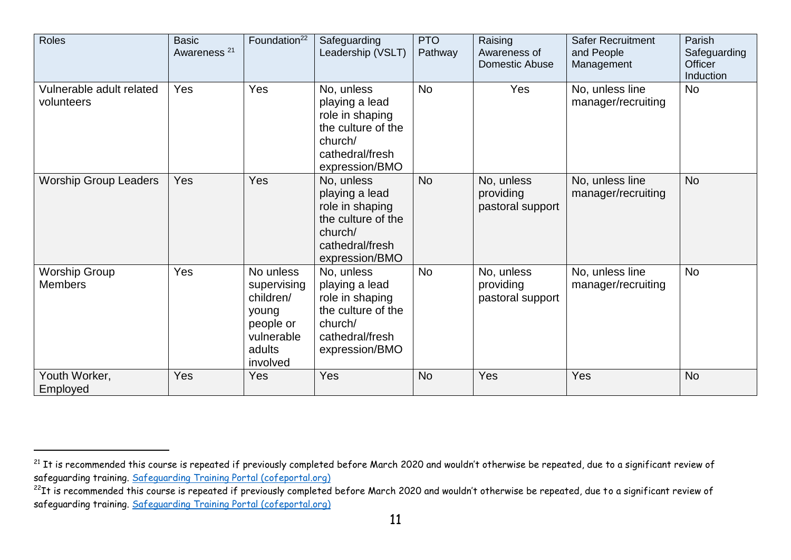| Roles                                  | <b>Basic</b><br>Awareness <sup>21</sup> | Foundation <sup>22</sup>                                                                        | Safeguarding<br>Leadership (VSLT)                                                                                     | <b>PTO</b><br>Pathway | Raising<br>Awareness of<br><b>Domestic Abuse</b> | <b>Safer Recruitment</b><br>and People<br>Management | Parish<br>Safeguarding<br><b>Officer</b><br><b>Induction</b> |
|----------------------------------------|-----------------------------------------|-------------------------------------------------------------------------------------------------|-----------------------------------------------------------------------------------------------------------------------|-----------------------|--------------------------------------------------|------------------------------------------------------|--------------------------------------------------------------|
| Vulnerable adult related<br>volunteers | Yes                                     | Yes                                                                                             | No, unless<br>playing a lead<br>role in shaping<br>the culture of the<br>church/<br>cathedral/fresh<br>expression/BMO | <b>No</b>             | Yes                                              | No, unless line<br>manager/recruiting                | <b>No</b>                                                    |
| <b>Worship Group Leaders</b>           | <b>Yes</b>                              | Yes                                                                                             | No, unless<br>playing a lead<br>role in shaping<br>the culture of the<br>church/<br>cathedral/fresh<br>expression/BMO | <b>No</b>             | No, unless<br>providing<br>pastoral support      | No, unless line<br>manager/recruiting                | <b>No</b>                                                    |
| <b>Worship Group</b><br><b>Members</b> | Yes                                     | No unless<br>supervising<br>children/<br>young<br>people or<br>vulnerable<br>adults<br>involved | No, unless<br>playing a lead<br>role in shaping<br>the culture of the<br>church/<br>cathedral/fresh<br>expression/BMO | No                    | No, unless<br>providing<br>pastoral support      | No, unless line<br>manager/recruiting                | <b>No</b>                                                    |
| Youth Worker,<br>Employed              | Yes                                     | <b>Yes</b>                                                                                      | Yes                                                                                                                   | <b>No</b>             | Yes                                              | Yes                                                  | <b>No</b>                                                    |

<sup>&</sup>lt;sup>21</sup> It is recommended this course is repeated if previously completed before March 2020 and wouldn't otherwise be repeated, due to a significant review of safeguarding training. [Safeguarding Training Portal \(cofeportal.org\)](https://safeguardingtraining.cofeportal.org/)

 $^{22}$ It is recommended this course is repeated if previously completed before March 2020 and wouldn't otherwise be repeated, due to a significant review of safeguarding training. [Safeguarding Training](https://safeguardingtraining.cofeportal.org/) Portal (cofeportal.org)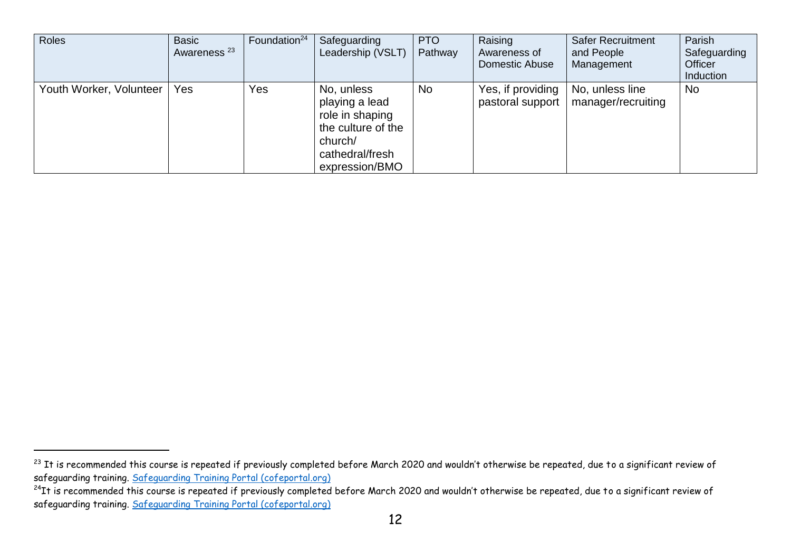| <b>Roles</b>            | <b>Basic</b><br>Awareness <sup>23</sup> | Foundation <sup>24</sup> | Safeguarding<br>Leadership (VSLT)                                                                                     | <b>PTO</b><br>Pathway | Raising<br>Awareness of<br><b>Domestic Abuse</b> | <b>Safer Recruitment</b><br>and People<br>Management | Parish<br>Safeguarding<br>Officer<br>Induction |
|-------------------------|-----------------------------------------|--------------------------|-----------------------------------------------------------------------------------------------------------------------|-----------------------|--------------------------------------------------|------------------------------------------------------|------------------------------------------------|
| Youth Worker, Volunteer | <b>Yes</b>                              | Yes                      | No, unless<br>playing a lead<br>role in shaping<br>the culture of the<br>church/<br>cathedral/fresh<br>expression/BMO | <b>No</b>             | Yes, if providing<br>pastoral support            | No, unless line<br>manager/recruiting                | <b>No</b>                                      |

 $^{23}$  It is recommended this course is repeated if previously completed before March 2020 and wouldn't otherwise be repeated, due to a significant review of safeguarding training. [Safeguarding Training Portal \(cofeportal.org\)](https://safeguardingtraining.cofeportal.org/)

 $^{24}$ It is recommended this course is repeated if previously completed before March 2020 and wouldn't otherwise be repeated, due to a significant review of safeguarding training. [Safeguarding Training Portal \(cofeportal.org\)](https://safeguardingtraining.cofeportal.org/)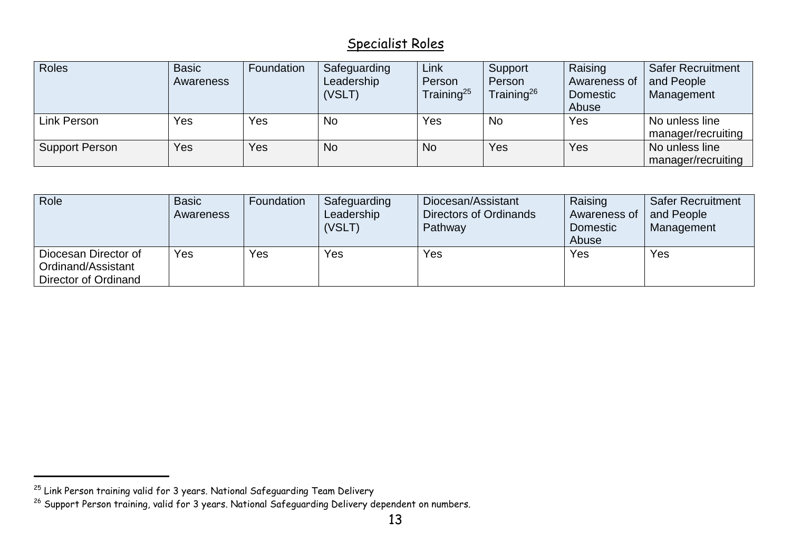## Specialist Roles

| Roles          | <b>Basic</b> | Foundation | Safeguarding | Link                   | Support          | Raising      | <b>Safer Recruitment</b> |
|----------------|--------------|------------|--------------|------------------------|------------------|--------------|--------------------------|
|                | Awareness    |            | Leadership   | Person                 | Person           | Awareness of | and People               |
|                |              |            | (VSLT)       | Training <sup>25</sup> | Training $^{26}$ | Domestic     | Management               |
|                |              |            |              |                        |                  | Abuse        |                          |
| Link Person    | Yes          | <b>Yes</b> | <b>No</b>    | Yes                    | <b>No</b>        | Yes          | No unless line           |
|                |              |            |              |                        |                  |              | manager/recruiting       |
| Support Person | Yes          | Yes        | <b>No</b>    | <b>No</b>              | Yes              | Yes          | No unless line           |
|                |              |            |              |                        |                  |              | manager/recruiting       |

| Role                                                               | <b>Basic</b><br><b>Awareness</b> | Foundation | Safeguarding<br>Leadership<br>(VSLT) | Diocesan/Assistant<br>Directors of Ordinands<br>Pathway | Raising<br>Awareness of<br><b>Domestic</b><br>Abuse | <b>Safer Recruitment</b><br>and People<br>Management |
|--------------------------------------------------------------------|----------------------------------|------------|--------------------------------------|---------------------------------------------------------|-----------------------------------------------------|------------------------------------------------------|
| Diocesan Director of<br>Ordinand/Assistant<br>Director of Ordinand | Yes                              | Yes        | Yes                                  | Yes                                                     | Yes                                                 | Yes                                                  |

 $^{25}$  Link Person training valid for 3 years. National Safeguarding Team Delivery

 $^{26}$  Support Person training, valid for 3 years. National Safeguarding Delivery dependent on numbers.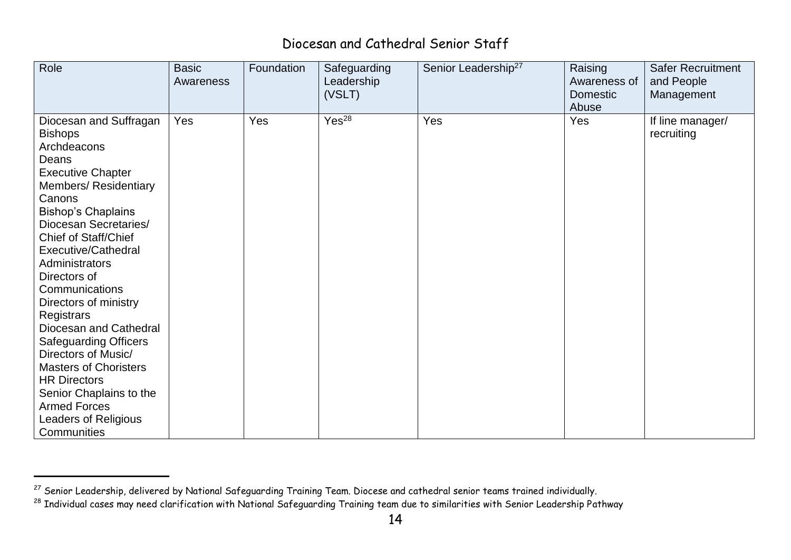## Diocesan and Cathedral Senior Staff

| Role                                                                                                                                                                                                                                                                                                                                                                                                                                                                                                                                                                                                | <b>Basic</b><br>Awareness | Foundation | Safeguarding<br>Leadership<br>(VSLT) | Senior Leadership <sup>27</sup> | Raising<br>Awareness of<br><b>Domestic</b><br>Abuse | <b>Safer Recruitment</b><br>and People<br>Management |
|-----------------------------------------------------------------------------------------------------------------------------------------------------------------------------------------------------------------------------------------------------------------------------------------------------------------------------------------------------------------------------------------------------------------------------------------------------------------------------------------------------------------------------------------------------------------------------------------------------|---------------------------|------------|--------------------------------------|---------------------------------|-----------------------------------------------------|------------------------------------------------------|
| Diocesan and Suffragan<br><b>Bishops</b><br>Archdeacons<br>Deans<br><b>Executive Chapter</b><br><b>Members/ Residentiary</b><br>Canons<br><b>Bishop's Chaplains</b><br>Diocesan Secretaries/<br><b>Chief of Staff/Chief</b><br><b>Executive/Cathedral</b><br><b>Administrators</b><br>Directors of<br>Communications<br>Directors of ministry<br>Registrars<br>Diocesan and Cathedral<br><b>Safeguarding Officers</b><br>Directors of Music/<br><b>Masters of Choristers</b><br><b>HR Directors</b><br>Senior Chaplains to the<br><b>Armed Forces</b><br><b>Leaders of Religious</b><br>Communities | Yes                       | Yes        | Yes <sup>28</sup>                    | Yes                             | Yes                                                 | If line manager/<br>recruiting                       |

 $^\mathrm{27}$  Senior Leadership, delivered by National Safeguarding Training Team. Diocese and cathedral senior teams trained individually.

 $^\mathrm{28}$  Individual cases may need clarification with National Safeguarding Training team due to similarities with Senior Leadership Pathway